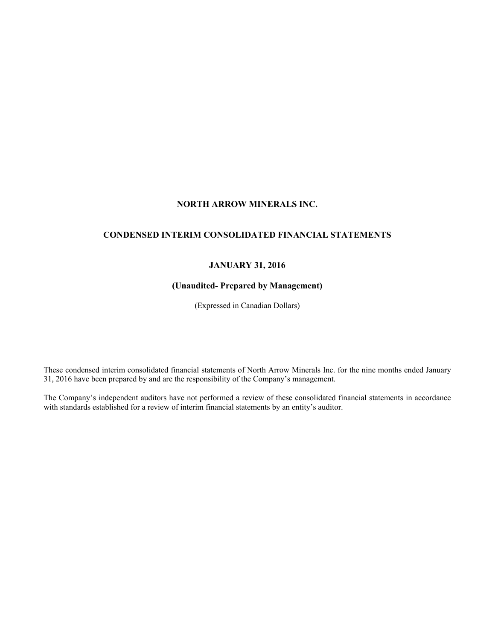# **NORTH ARROW MINERALS INC.**

## **CONDENSED INTERIM CONSOLIDATED FINANCIAL STATEMENTS**

## **JANUARY 31, 2016**

## **(Unaudited- Prepared by Management)**

(Expressed in Canadian Dollars)

These condensed interim consolidated financial statements of North Arrow Minerals Inc. for the nine months ended January 31, 2016 have been prepared by and are the responsibility of the Company's management.

The Company's independent auditors have not performed a review of these consolidated financial statements in accordance with standards established for a review of interim financial statements by an entity's auditor.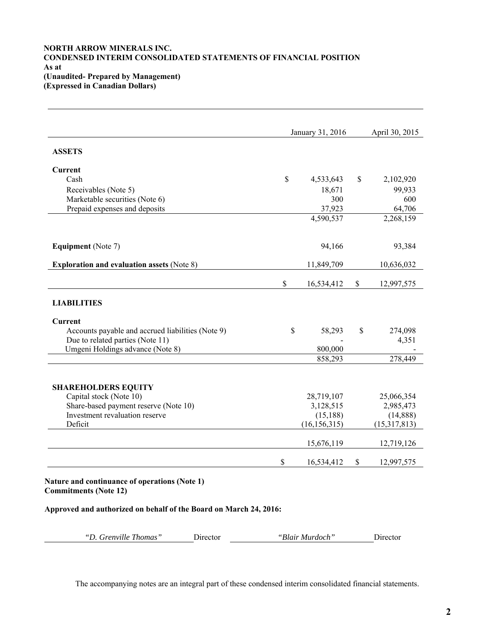## **NORTH ARROW MINERALS INC. CONDENSED INTERIM CONSOLIDATED STATEMENTS OF FINANCIAL POSITION As at (Unaudited- Prepared by Management) (Expressed in Canadian Dollars)**

|                                                   | January 31, 2016 | April 30, 2015 |              |
|---------------------------------------------------|------------------|----------------|--------------|
| <b>ASSETS</b>                                     |                  |                |              |
| <b>Current</b>                                    |                  |                |              |
| Cash                                              | \$<br>4,533,643  | \$             | 2,102,920    |
| Receivables (Note 5)                              | 18,671           |                | 99,933       |
| Marketable securities (Note 6)                    | 300              |                | 600          |
| Prepaid expenses and deposits                     | 37,923           |                | 64,706       |
|                                                   | 4,590,537        |                | 2,268,159    |
| <b>Equipment</b> (Note 7)                         | 94,166           |                | 93,384       |
| <b>Exploration and evaluation assets (Note 8)</b> | 11,849,709       |                | 10,636,032   |
|                                                   | \$<br>16,534,412 | \$             | 12,997,575   |
| <b>LIABILITIES</b>                                |                  |                |              |
| <b>Current</b>                                    |                  |                |              |
| Accounts payable and accrued liabilities (Note 9) | \$<br>58,293     | \$             | 274,098      |
| Due to related parties (Note 11)                  |                  |                | 4,351        |
| Umgeni Holdings advance (Note 8)                  | 800,000          |                |              |
|                                                   | 858,293          |                | 278,449      |
| <b>SHAREHOLDERS EQUITY</b>                        |                  |                |              |
| Capital stock (Note 10)                           | 28,719,107       |                | 25,066,354   |
| Share-based payment reserve (Note 10)             | 3,128,515        |                | 2,985,473    |
| Investment revaluation reserve                    | (15, 188)        |                | (14, 888)    |
| Deficit                                           | (16, 156, 315)   |                | (15,317,813) |
|                                                   | 15,676,119       |                | 12,719,126   |
|                                                   |                  |                |              |

**Approved and authorized on behalf of the Board on March 24, 2016:**

|  | "D. Grenville Thomas"<br>Jirector | Blair<br>Murdoch' | . Jirector |
|--|-----------------------------------|-------------------|------------|
|--|-----------------------------------|-------------------|------------|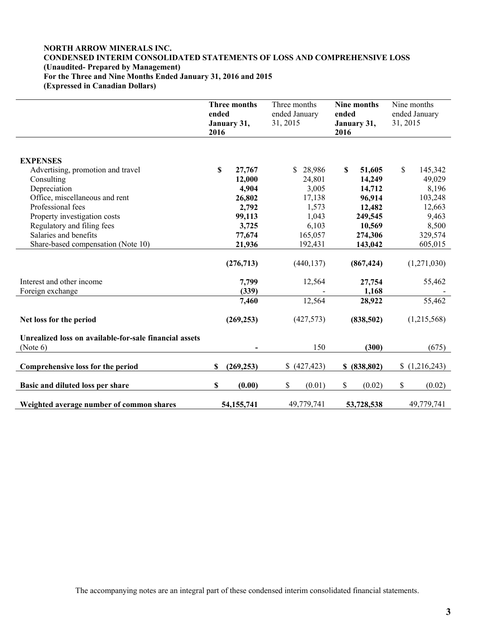## **NORTH ARROW MINERALS INC. CONDENSED INTERIM CONSOLIDATED STATEMENTS OF LOSS AND COMPREHENSIVE LOSS (Unaudited- Prepared by Management) For the Three and Nine Months Ended January 31, 2016 and 2015 (Expressed in Canadian Dollars)**

|                                                                    | ended<br>2016 | Three months<br>January 31, | Three months<br>ended January<br>31, 2015 | ended<br>2016 | Nine months<br>January 31, | 31, 2015 | Nine months<br>ended January |
|--------------------------------------------------------------------|---------------|-----------------------------|-------------------------------------------|---------------|----------------------------|----------|------------------------------|
|                                                                    |               |                             |                                           |               |                            |          |                              |
| <b>EXPENSES</b>                                                    |               |                             |                                           |               |                            |          |                              |
| Advertising, promotion and travel                                  | \$            | 27,767                      | \$28,986                                  | S             | 51,605                     | \$       | 145,342                      |
| Consulting                                                         |               | 12,000                      | 24,801                                    |               | 14,249                     |          | 49,029                       |
| Depreciation                                                       |               | 4,904                       | 3,005                                     |               | 14,712                     |          | 8,196                        |
| Office, miscellaneous and rent                                     |               | 26,802                      | 17,138                                    |               | 96,914                     |          | 103,248                      |
| Professional fees                                                  |               | 2,792                       | 1,573                                     |               | 12,482                     |          | 12,663                       |
| Property investigation costs                                       |               | 99,113                      | 1,043                                     |               | 249,545                    |          | 9,463                        |
| Regulatory and filing fees                                         |               | 3,725                       | 6,103                                     |               | 10,569                     |          | 8,500                        |
| Salaries and benefits                                              |               | 77,674                      | 165,057                                   |               | 274,306                    |          | 329,574                      |
| Share-based compensation (Note 10)                                 |               | 21,936                      | 192,431                                   |               | 143,042                    |          | 605,015                      |
|                                                                    |               | (276, 713)                  | (440, 137)                                |               | (867, 424)                 |          | (1,271,030)                  |
| Interest and other income                                          |               | 7,799                       | 12,564                                    |               | 27,754                     |          | 55,462                       |
| Foreign exchange                                                   |               | (339)                       |                                           |               | 1,168                      |          |                              |
|                                                                    |               | 7,460                       | 12,564                                    |               | 28,922                     |          | 55,462                       |
| Net loss for the period                                            |               | (269, 253)                  | (427,573)                                 |               | (838,502)                  |          | (1,215,568)                  |
| Unrealized loss on available-for-sale financial assets<br>(Note 6) |               |                             | 150                                       |               | (300)                      |          | (675)                        |
| Comprehensive loss for the period                                  | S             | (269, 253)                  | (427, 423)                                |               | \$ (838,802)               |          | (1,216,243)                  |
| Basic and diluted loss per share                                   | \$            | (0.00)                      | \$<br>(0.01)                              | \$            | (0.02)                     | \$       | (0.02)                       |
| Weighted average number of common shares                           |               | 54, 155, 741                | 49,779,741                                |               | 53,728,538                 |          | 49,779,741                   |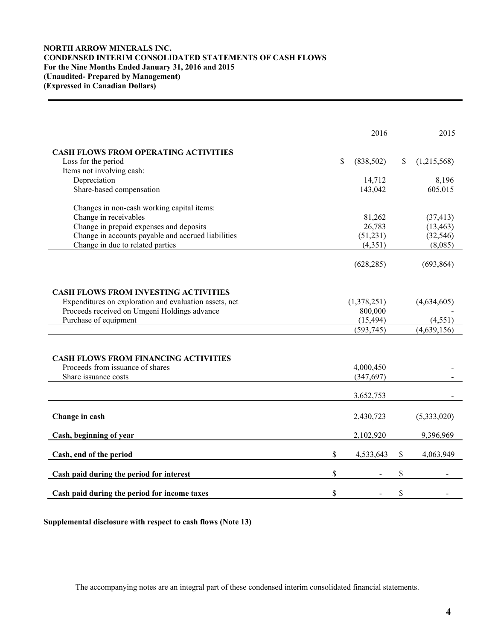## **NORTH ARROW MINERALS INC. CONDENSED INTERIM CONSOLIDATED STATEMENTS OF CASH FLOWS For the Nine Months Ended January 31, 2016 and 2015 (Unaudited- Prepared by Management) (Expressed in Canadian Dollars)**

|                                                        | 2016            |               | 2015        |
|--------------------------------------------------------|-----------------|---------------|-------------|
|                                                        |                 |               |             |
| <b>CASH FLOWS FROM OPERATING ACTIVITIES</b>            | \$<br>(838,502) | <sup>\$</sup> |             |
| Loss for the period<br>Items not involving cash:       |                 |               | (1,215,568) |
| Depreciation                                           | 14,712          |               | 8,196       |
| Share-based compensation                               | 143,042         |               | 605,015     |
|                                                        |                 |               |             |
| Changes in non-cash working capital items:             |                 |               |             |
| Change in receivables                                  | 81,262          |               | (37, 413)   |
| Change in prepaid expenses and deposits                | 26,783          |               | (13, 463)   |
| Change in accounts payable and accrued liabilities     | (51,231)        |               | (32, 546)   |
| Change in due to related parties                       | (4, 351)        |               | (8,085)     |
|                                                        |                 |               |             |
|                                                        | (628, 285)      |               | (693, 864)  |
|                                                        |                 |               |             |
|                                                        |                 |               |             |
| <b>CASH FLOWS FROM INVESTING ACTIVITIES</b>            |                 |               |             |
| Expenditures on exploration and evaluation assets, net | (1,378,251)     |               | (4,634,605) |
| Proceeds received on Umgeni Holdings advance           | 800,000         |               |             |
| Purchase of equipment                                  | (15, 494)       |               | (4, 551)    |
|                                                        | (593, 745)      |               | (4,639,156) |
|                                                        |                 |               |             |
|                                                        |                 |               |             |
| <b>CASH FLOWS FROM FINANCING ACTIVITIES</b>            |                 |               |             |
| Proceeds from issuance of shares                       | 4,000,450       |               |             |
| Share issuance costs                                   | (347, 697)      |               |             |
|                                                        |                 |               |             |
|                                                        | 3,652,753       |               |             |
|                                                        |                 |               |             |
| Change in cash                                         | 2,430,723       |               | (5,333,020) |
|                                                        |                 |               |             |
| Cash, beginning of year                                | 2,102,920       |               | 9,396,969   |
|                                                        |                 |               |             |
| Cash, end of the period                                | \$<br>4,533,643 | $\mathbb S$   | 4,063,949   |
|                                                        |                 |               |             |
| Cash paid during the period for interest               | \$              | \$            |             |
|                                                        |                 |               |             |
| Cash paid during the period for income taxes           | \$              | \$            |             |

**Supplemental disclosure with respect to cash flows (Note 13)**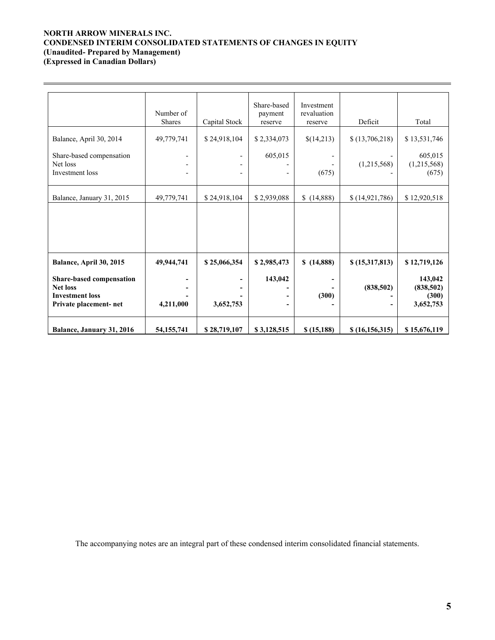# **NORTH ARROW MINERALS INC. CONDENSED INTERIM CONSOLIDATED STATEMENTS OF CHANGES IN EQUITY (Unaudited- Prepared by Management)**

**(Expressed in Canadian Dollars)** 

 $\overline{a}$ 

|                                                                                                 | Number of<br><b>Shares</b> | Capital Stock                                                                    | Share-based<br>payment<br>reserve | Investment<br>revaluation<br>reserve | Deficit          | Total                                       |
|-------------------------------------------------------------------------------------------------|----------------------------|----------------------------------------------------------------------------------|-----------------------------------|--------------------------------------|------------------|---------------------------------------------|
| Balance, April 30, 2014                                                                         | 49,779,741                 | \$24,918,104                                                                     | \$2,334,073                       | \$(14,213)                           | \$(13,706,218)   | \$13,531,746                                |
| Share-based compensation<br>Net loss<br>Investment loss                                         |                            | $\overline{\phantom{0}}$<br>$\overline{\phantom{0}}$<br>$\overline{\phantom{0}}$ | 605,015                           | (675)                                | (1,215,568)      | 605,015<br>(1,215,568)<br>(675)             |
| Balance, January 31, 2015                                                                       | 49,779,741                 | \$24,918,104                                                                     | \$2,939,088                       | \$(14,888)                           | (14, 921, 786)   | \$12,920,518                                |
|                                                                                                 |                            |                                                                                  |                                   |                                      |                  |                                             |
| Balance, April 30, 2015                                                                         | 49,944,741                 | \$25,066,354                                                                     | \$2,985,473                       | \$(14,888)                           | \$(15,317,813)   | \$12,719,126                                |
| Share-based compensation<br><b>Net loss</b><br><b>Investment loss</b><br>Private placement- net | 4,211,000                  | 3,652,753                                                                        | 143,042                           | (300)                                | (838, 502)       | 143,042<br>(838, 502)<br>(300)<br>3,652,753 |
| Balance, January 31, 2016                                                                       | 54, 155, 741               | \$28,719,107                                                                     | \$3,128,515                       | \$(15,188)                           | \$(16, 156, 315) | \$15,676,119                                |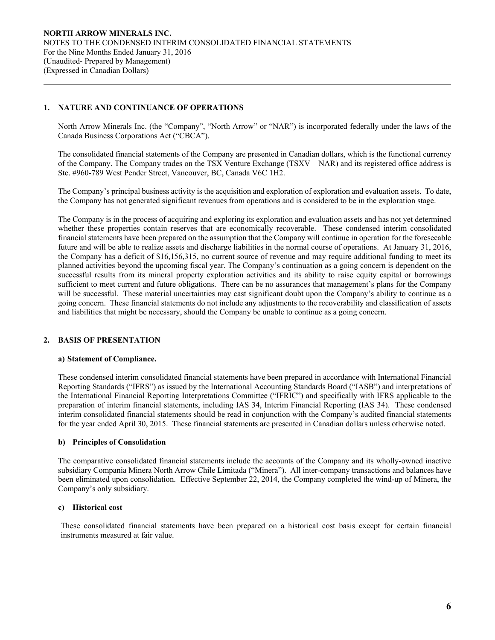## **1. NATURE AND CONTINUANCE OF OPERATIONS**

 $\overline{a}$ 

North Arrow Minerals Inc. (the "Company", "North Arrow" or "NAR") is incorporated federally under the laws of the Canada Business Corporations Act ("CBCA").

The consolidated financial statements of the Company are presented in Canadian dollars, which is the functional currency of the Company. The Company trades on the TSX Venture Exchange (TSXV – NAR) and its registered office address is Ste. #960-789 West Pender Street, Vancouver, BC, Canada V6C 1H2.

The Company's principal business activity is the acquisition and exploration of exploration and evaluation assets. To date, the Company has not generated significant revenues from operations and is considered to be in the exploration stage.

The Company is in the process of acquiring and exploring its exploration and evaluation assets and has not yet determined whether these properties contain reserves that are economically recoverable. These condensed interim consolidated financial statements have been prepared on the assumption that the Company will continue in operation for the foreseeable future and will be able to realize assets and discharge liabilities in the normal course of operations. At January 31, 2016, the Company has a deficit of \$16,156,315, no current source of revenue and may require additional funding to meet its planned activities beyond the upcoming fiscal year. The Company's continuation as a going concern is dependent on the successful results from its mineral property exploration activities and its ability to raise equity capital or borrowings sufficient to meet current and future obligations. There can be no assurances that management's plans for the Company will be successful. These material uncertainties may cast significant doubt upon the Company's ability to continue as a going concern. These financial statements do not include any adjustments to the recoverability and classification of assets and liabilities that might be necessary, should the Company be unable to continue as a going concern.

## **2. BASIS OF PRESENTATION**

## **a) Statement of Compliance.**

These condensed interim consolidated financial statements have been prepared in accordance with International Financial Reporting Standards ("IFRS") as issued by the International Accounting Standards Board ("IASB") and interpretations of the International Financial Reporting Interpretations Committee ("IFRIC") and specifically with IFRS applicable to the preparation of interim financial statements, including IAS 34, Interim Financial Reporting (IAS 34). These condensed interim consolidated financial statements should be read in conjunction with the Company's audited financial statements for the year ended April 30, 2015. These financial statements are presented in Canadian dollars unless otherwise noted.

## **b) Principles of Consolidation**

The comparative consolidated financial statements include the accounts of the Company and its wholly-owned inactive subsidiary Compania Minera North Arrow Chile Limitada ("Minera"). All inter-company transactions and balances have been eliminated upon consolidation. Effective September 22, 2014, the Company completed the wind-up of Minera, the Company's only subsidiary.

#### **c) Historical cost**

These consolidated financial statements have been prepared on a historical cost basis except for certain financial instruments measured at fair value.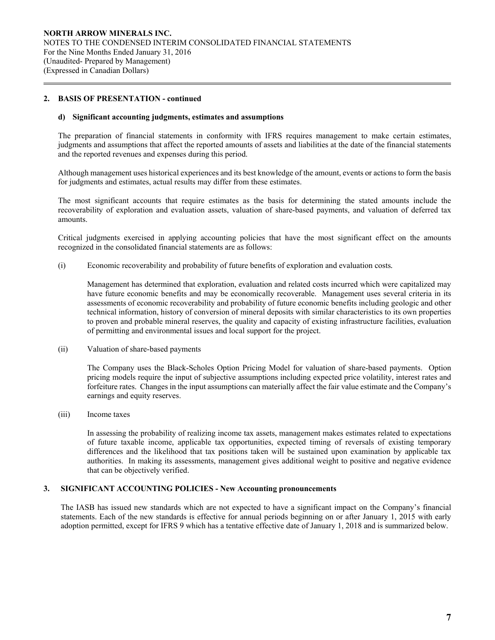#### **2. BASIS OF PRESENTATION - continued**

 $\overline{a}$ 

#### **d) Significant accounting judgments, estimates and assumptions**

The preparation of financial statements in conformity with IFRS requires management to make certain estimates, judgments and assumptions that affect the reported amounts of assets and liabilities at the date of the financial statements and the reported revenues and expenses during this period.

Although management uses historical experiences and its best knowledge of the amount, events or actions to form the basis for judgments and estimates, actual results may differ from these estimates.

The most significant accounts that require estimates as the basis for determining the stated amounts include the recoverability of exploration and evaluation assets, valuation of share-based payments, and valuation of deferred tax amounts.

Critical judgments exercised in applying accounting policies that have the most significant effect on the amounts recognized in the consolidated financial statements are as follows:

(i) Economic recoverability and probability of future benefits of exploration and evaluation costs*.* 

 Management has determined that exploration, evaluation and related costs incurred which were capitalized may have future economic benefits and may be economically recoverable. Management uses several criteria in its assessments of economic recoverability and probability of future economic benefits including geologic and other technical information, history of conversion of mineral deposits with similar characteristics to its own properties to proven and probable mineral reserves, the quality and capacity of existing infrastructure facilities, evaluation of permitting and environmental issues and local support for the project.

(ii) Valuation of share-based payments

The Company uses the Black-Scholes Option Pricing Model for valuation of share-based payments. Option pricing models require the input of subjective assumptions including expected price volatility, interest rates and forfeiture rates. Changes in the input assumptions can materially affect the fair value estimate and the Company's earnings and equity reserves.

(iii) Income taxes

In assessing the probability of realizing income tax assets, management makes estimates related to expectations of future taxable income, applicable tax opportunities, expected timing of reversals of existing temporary differences and the likelihood that tax positions taken will be sustained upon examination by applicable tax authorities. In making its assessments, management gives additional weight to positive and negative evidence that can be objectively verified.

#### **3. SIGNIFICANT ACCOUNTING POLICIES - New Accounting pronouncements**

The IASB has issued new standards which are not expected to have a significant impact on the Company's financial statements. Each of the new standards is effective for annual periods beginning on or after January 1, 2015 with early adoption permitted, except for IFRS 9 which has a tentative effective date of January 1, 2018 and is summarized below.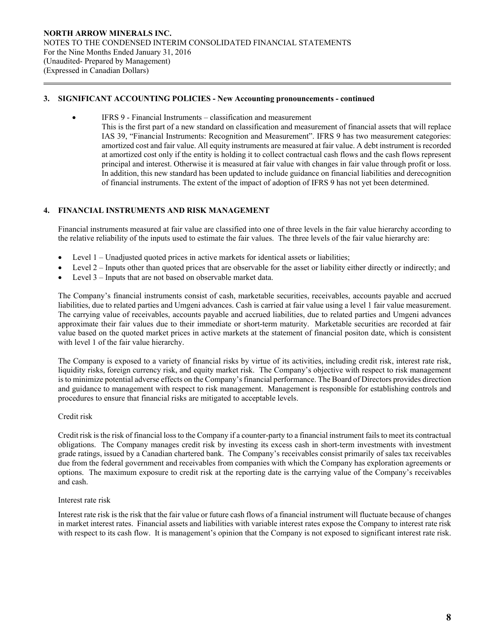#### **3. SIGNIFICANT ACCOUNTING POLICIES - New Accounting pronouncements - continued**

- IFRS 9 Financial Instruments classification and measurement
	- This is the first part of a new standard on classification and measurement of financial assets that will replace IAS 39, "Financial Instruments: Recognition and Measurement". IFRS 9 has two measurement categories: amortized cost and fair value. All equity instruments are measured at fair value. A debt instrument is recorded at amortized cost only if the entity is holding it to collect contractual cash flows and the cash flows represent principal and interest. Otherwise it is measured at fair value with changes in fair value through profit or loss. In addition, this new standard has been updated to include guidance on financial liabilities and derecognition of financial instruments. The extent of the impact of adoption of IFRS 9 has not yet been determined.

## **4. FINANCIAL INSTRUMENTS AND RISK MANAGEMENT**

Financial instruments measured at fair value are classified into one of three levels in the fair value hierarchy according to the relative reliability of the inputs used to estimate the fair values. The three levels of the fair value hierarchy are:

- Level 1 Unadjusted quoted prices in active markets for identical assets or liabilities;
- Level 2 Inputs other than quoted prices that are observable for the asset or liability either directly or indirectly; and
- Level 3 Inputs that are not based on observable market data.

The Company's financial instruments consist of cash, marketable securities, receivables, accounts payable and accrued liabilities, due to related parties and Umgeni advances. Cash is carried at fair value using a level 1 fair value measurement. The carrying value of receivables, accounts payable and accrued liabilities, due to related parties and Umgeni advances approximate their fair values due to their immediate or short-term maturity. Marketable securities are recorded at fair value based on the quoted market prices in active markets at the statement of financial positon date, which is consistent with level 1 of the fair value hierarchy.

The Company is exposed to a variety of financial risks by virtue of its activities, including credit risk, interest rate risk, liquidity risks, foreign currency risk, and equity market risk. The Company's objective with respect to risk management is to minimize potential adverse effects on the Company's financial performance. The Board of Directors provides direction and guidance to management with respect to risk management. Management is responsible for establishing controls and procedures to ensure that financial risks are mitigated to acceptable levels.

#### Credit risk

 $\overline{a}$ 

Credit risk is the risk of financial loss to the Company if a counter-party to a financial instrument fails to meet its contractual obligations. The Company manages credit risk by investing its excess cash in short-term investments with investment grade ratings, issued by a Canadian chartered bank. The Company's receivables consist primarily of sales tax receivables due from the federal government and receivables from companies with which the Company has exploration agreements or options. The maximum exposure to credit risk at the reporting date is the carrying value of the Company's receivables and cash.

## Interest rate risk

Interest rate risk is the risk that the fair value or future cash flows of a financial instrument will fluctuate because of changes in market interest rates. Financial assets and liabilities with variable interest rates expose the Company to interest rate risk with respect to its cash flow. It is management's opinion that the Company is not exposed to significant interest rate risk.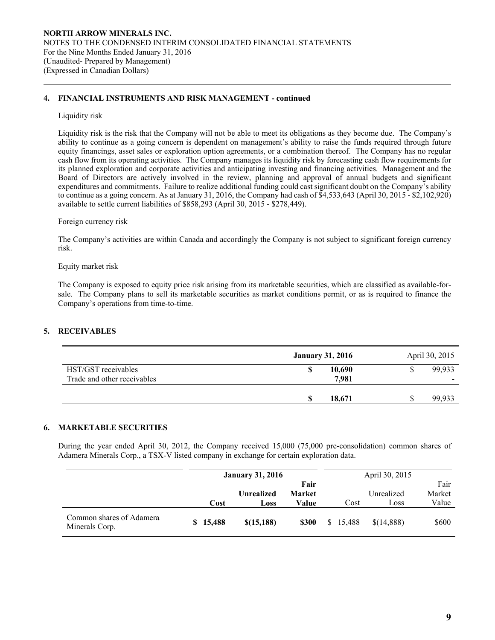#### **4. FINANCIAL INSTRUMENTS AND RISK MANAGEMENT - continued**

#### Liquidity risk

 $\overline{a}$ 

Liquidity risk is the risk that the Company will not be able to meet its obligations as they become due. The Company's ability to continue as a going concern is dependent on management's ability to raise the funds required through future equity financings, asset sales or exploration option agreements, or a combination thereof. The Company has no regular cash flow from its operating activities. The Company manages its liquidity risk by forecasting cash flow requirements for its planned exploration and corporate activities and anticipating investing and financing activities. Management and the Board of Directors are actively involved in the review, planning and approval of annual budgets and significant expenditures and commitments. Failure to realize additional funding could cast significant doubt on the Company's ability to continue as a going concern. As at January 31, 2016, the Company had cash of \$4,533,643 (April 30, 2015 - \$2,102,920) available to settle current liabilities of \$858,293 (April 30, 2015 - \$278,449).

#### Foreign currency risk

 The Company's activities are within Canada and accordingly the Company is not subject to significant foreign currency risk.

#### Equity market risk

The Company is exposed to equity price risk arising from its marketable securities, which are classified as available-forsale. The Company plans to sell its marketable securities as market conditions permit, or as is required to finance the Company's operations from time-to-time.

## **5. RECEIVABLES**

|                                                    | <b>January 31, 2016</b> | April 30, 2015 |
|----------------------------------------------------|-------------------------|----------------|
| HST/GST receivables<br>Trade and other receivables | 10,690<br>7,981         | 99,933         |
|                                                    | 18,671                  | 99.933         |

## **6. MARKETABLE SECURITIES**

 During the year ended April 30, 2012, the Company received 15,000 (75,000 pre-consolidation) common shares of Adamera Minerals Corp., a TSX-V listed company in exchange for certain exploration data.

|                                            |          | <b>January 31, 2016</b> |               |    |        | April 30, 2015 |        |
|--------------------------------------------|----------|-------------------------|---------------|----|--------|----------------|--------|
|                                            | Fair     |                         |               |    |        |                | Fair   |
|                                            |          | <b>Unrealized</b>       | <b>Market</b> |    |        | Unrealized     | Market |
|                                            | Cost     | Loss                    | Value         |    | Cost   | Loss           | Value  |
| Common shares of Adamera<br>Minerals Corp. | \$15,488 | \$(15, 188)             | <b>\$300</b>  | S. | 15,488 | \$(14,888)     | \$600  |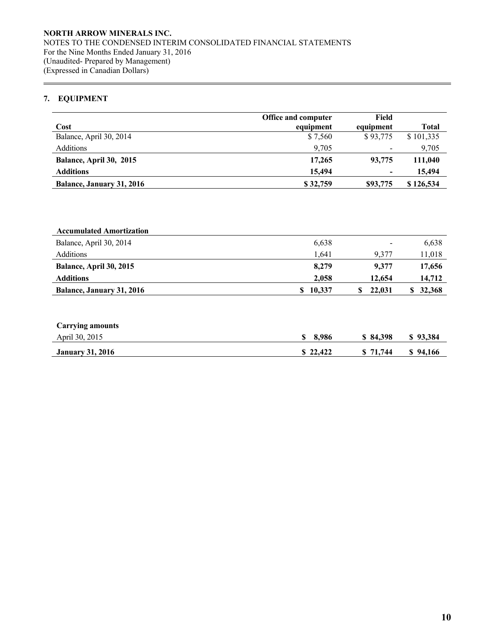## **7. EQUIPMENT**

 $\overline{a}$ 

|                                  | Office and computer | Field                    |              |
|----------------------------------|---------------------|--------------------------|--------------|
| Cost                             | equipment           | equipment                | <b>Total</b> |
| Balance, April 30, 2014          | \$7,560             | \$93,775                 | \$101,335    |
| Additions                        | 9,705               |                          | 9,705        |
| Balance, April 30, 2015          | 17.265              | 93,775                   | 111,040      |
| <b>Additions</b>                 | 15,494              | $\overline{\phantom{a}}$ | 15,494       |
| <b>Balance, January 31, 2016</b> | \$32,759            | \$93,775                 | \$126,534    |

| <b>Accumulated Amortization</b>  |        |        |        |
|----------------------------------|--------|--------|--------|
| Balance, April 30, 2014          | 6,638  | -      | 6,638  |
| <b>Additions</b>                 | 1.641  | 9.377  | 11,018 |
| <b>Balance, April 30, 2015</b>   | 8.279  | 9.377  | 17,656 |
| <b>Additions</b>                 | 2.058  | 12,654 | 14,712 |
| <b>Balance, January 31, 2016</b> | 10,337 | 22,031 | 32,368 |

| <b>Carrying amounts</b> |          |          |          |
|-------------------------|----------|----------|----------|
| April 30, 2015          | \$3,986  | \$84,398 | \$93,384 |
| <b>January 31, 2016</b> | \$22,422 | \$71,744 | \$94,166 |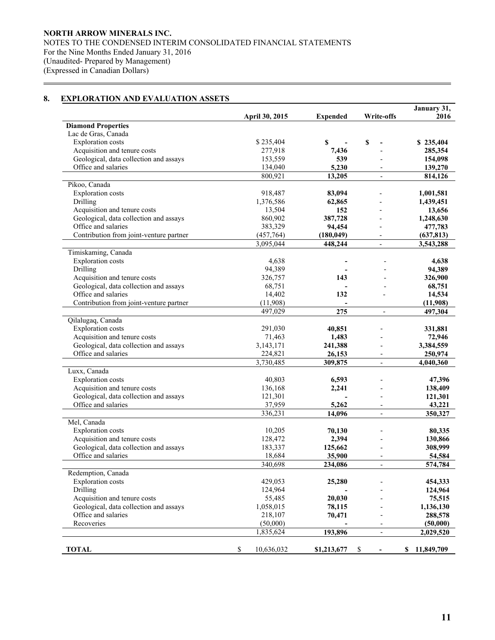## **8. EXPLORATION AND EVALUATION ASSETS**

 $\overline{a}$ 

|                                         |                  |                 |                          | January 31,      |
|-----------------------------------------|------------------|-----------------|--------------------------|------------------|
|                                         | April 30, 2015   | <b>Expended</b> | <b>Write-offs</b>        | 2016             |
| <b>Diamond Properties</b>               |                  |                 |                          |                  |
| Lac de Gras, Canada                     |                  |                 |                          |                  |
| <b>Exploration</b> costs                | \$235,404        | \$              | \$                       | \$235,404        |
| Acquisition and tenure costs            | 277,918          | 7,436           |                          | 285,354          |
| Geological, data collection and assays  | 153,559          | 539             |                          | 154,098          |
| Office and salaries                     | 134,040          | 5,230           |                          | 139,270          |
|                                         | 800,921          | 13,205          | $\overline{a}$           | 814,126          |
| Pikoo, Canada                           |                  |                 |                          |                  |
| <b>Exploration</b> costs                | 918,487          | 83,094          |                          | 1,001,581        |
| Drilling                                | 1,376,586        | 62,865          |                          | 1,439,451        |
| Acquisition and tenure costs            | 13,504           | 152             |                          | 13,656           |
| Geological, data collection and assays  | 860,902          | 387,728         |                          | 1,248,630        |
| Office and salaries                     | 383,329          | 94,454          |                          | 477,783          |
| Contribution from joint-venture partner | (457,764)        | (180, 049)      |                          | (637, 813)       |
|                                         | 3,095,044        | 448,244         |                          | 3,543,288        |
| Timiskaming, Canada                     |                  |                 |                          |                  |
| <b>Exploration</b> costs                | 4,638            |                 |                          | 4,638            |
| Drilling                                | 94,389           |                 |                          | 94,389           |
| Acquisition and tenure costs            | 326,757          | 143             |                          | 326,900          |
| Geological, data collection and assays  | 68,751           |                 |                          | 68,751           |
| Office and salaries                     | 14,402           | 132             |                          | 14,534           |
| Contribution from joint-venture partner | (11,908)         |                 |                          | (11,908)         |
|                                         | 497,029          | 275             | $\overline{a}$           | 497,304          |
| Qilalugaq, Canada                       |                  |                 |                          |                  |
| <b>Exploration</b> costs                | 291,030          | 40,851          |                          | 331,881          |
| Acquisition and tenure costs            | 71,463           | 1,483           |                          | 72,946           |
| Geological, data collection and assays  | 3,143,171        | 241,388         |                          | 3,384,559        |
| Office and salaries                     | 224,821          | 26,153          |                          | 250,974          |
|                                         | 3,730,485        | 309,875         | $\overline{\phantom{a}}$ | 4,040,360        |
| Luxx, Canada                            |                  |                 |                          |                  |
| <b>Exploration</b> costs                | 40,803           | 6,593           |                          | 47,396           |
| Acquisition and tenure costs            | 136,168          | 2,241           |                          | 138,409          |
| Geological, data collection and assays  | 121,301          |                 |                          | 121,301          |
| Office and salaries                     | 37,959           | 5,262           |                          | 43,221           |
|                                         | 336,231          | 14,096          | $\overline{a}$           | 350,327          |
| Mel, Canada                             |                  |                 |                          |                  |
| <b>Exploration</b> costs                | 10,205           | 70,130          |                          | 80,335           |
| Acquisition and tenure costs            | 128,472          | 2,394           |                          | 130,866          |
| Geological, data collection and assays  | 183,337          | 125,662         |                          | 308,999          |
| Office and salaries                     | 18,684           | 35,900          |                          | 54,584           |
|                                         | 340.698          | 234.086         |                          | 574,784          |
| Redemption, Canada                      |                  |                 |                          |                  |
| <b>Exploration</b> costs                | 429,053          | 25,280          |                          | 454,333          |
| Drilling                                | 124,964          |                 |                          | 124,964          |
| Acquisition and tenure costs            | 55,485           | 20,030          |                          | 75,515           |
| Geological, data collection and assays  | 1,058,015        | 78,115          |                          | 1,136,130        |
| Office and salaries                     | 218,107          | 70,471          |                          | 288,578          |
| Recoveries                              | (50,000)         |                 |                          | (50,000)         |
|                                         | 1,835,624        | 193,896         | $\overline{\phantom{0}}$ | 2,029,520        |
|                                         |                  |                 |                          |                  |
| <b>TOTAL</b>                            | \$<br>10,636,032 | \$1,213,677     | \$                       | 11,849,709<br>\$ |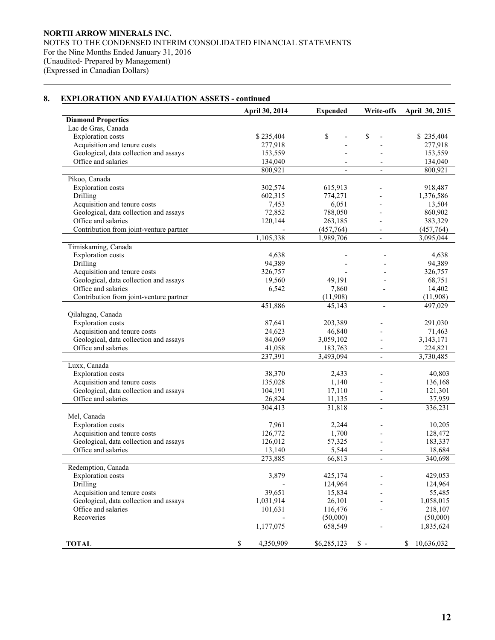## **8. EXPLORATION AND EVALUATION ASSETS - continued**

 $\overline{a}$ 

|                                         | <b>April 30, 2014</b> | <b>Expended</b>          | Write-offs               | April 30, 2015   |
|-----------------------------------------|-----------------------|--------------------------|--------------------------|------------------|
| <b>Diamond Properties</b>               |                       |                          |                          |                  |
| Lac de Gras, Canada                     |                       |                          |                          |                  |
| <b>Exploration</b> costs                | \$235,404             | \$                       | \$                       | \$235,404        |
| Acquisition and tenure costs            | 277,918               |                          |                          | 277,918          |
| Geological, data collection and assays  | 153,559               |                          |                          | 153,559          |
| Office and salaries                     | 134,040               |                          |                          | 134,040          |
|                                         | 800,921               | $\overline{\phantom{a}}$ | $\blacksquare$           | 800,921          |
| Pikoo, Canada                           |                       |                          |                          |                  |
| <b>Exploration</b> costs                | 302,574               | 615,913                  |                          | 918,487          |
| Drilling                                | 602,315               | 774,271                  |                          | 1,376,586        |
| Acquisition and tenure costs            | 7,453                 | 6,051                    |                          | 13,504           |
| Geological, data collection and assays  | 72,852                | 788,050                  |                          | 860,902          |
| Office and salaries                     | 120,144               | 263,185                  |                          | 383,329          |
| Contribution from joint-venture partner |                       | (457, 764)               |                          | (457,764)        |
|                                         | 1,105,338             | 1,989,706                | $\overline{\phantom{0}}$ | 3,095,044        |
| Timiskaming, Canada                     |                       |                          |                          |                  |
| <b>Exploration</b> costs                | 4,638                 |                          |                          | 4,638            |
| Drilling                                | 94,389                |                          |                          | 94,389           |
| Acquisition and tenure costs            | 326,757               |                          |                          | 326,757          |
| Geological, data collection and assays  | 19,560                | 49,191                   |                          | 68,751           |
| Office and salaries                     | 6,542                 | 7,860                    |                          | 14,402           |
| Contribution from joint-venture partner |                       | (11,908)                 |                          | (11,908)         |
|                                         | 451,886               | 45,143                   | $\overline{\phantom{a}}$ | 497,029          |
| Qilalugaq, Canada                       |                       |                          |                          |                  |
| <b>Exploration</b> costs                | 87,641                | 203,389                  |                          | 291,030          |
| Acquisition and tenure costs            | 24,623                | 46,840                   |                          | 71,463           |
| Geological, data collection and assays  | 84,069                | 3,059,102                |                          | 3, 143, 171      |
| Office and salaries                     | 41,058                | 183,763                  |                          | 224,821          |
|                                         | 237,391               | 3,493,094                | $\overline{\phantom{a}}$ | 3,730,485        |
| Luxx, Canada                            |                       |                          |                          |                  |
| <b>Exploration</b> costs                | 38,370                | 2,433                    |                          | 40,803           |
| Acquisition and tenure costs            | 135,028               | 1,140                    |                          | 136,168          |
| Geological, data collection and assays  | 104,191               | 17,110                   |                          | 121,301          |
| Office and salaries                     | 26,824                | 11,135                   |                          | 37,959           |
|                                         | 304,413               | 31,818                   | $\overline{\phantom{a}}$ | 336,231          |
| Mel, Canada                             |                       |                          |                          |                  |
| <b>Exploration</b> costs                | 7,961                 | 2,244                    |                          | 10,205           |
| Acquisition and tenure costs            | 126,772               | 1,700                    |                          | 128,472          |
| Geological, data collection and assays  | 126,012               | 57,325                   | $\overline{\phantom{0}}$ | 183,337          |
| Office and salaries                     | 13,140                | 5,544                    |                          | 18,684           |
|                                         | 273,885               | 66,813                   | $\overline{\phantom{a}}$ | 340,698          |
| Redemption, Canada                      |                       |                          |                          |                  |
|                                         |                       |                          |                          |                  |
| <b>Exploration</b> costs                | 3,879                 | 425,174                  |                          | 429,053          |
| Drilling                                |                       | 124,964                  |                          | 124,964          |
| Acquisition and tenure costs            | 39,651                | 15,834                   |                          | 55,485           |
| Geological, data collection and assays  | 1,031,914             | 26,101                   |                          | 1,058,015        |
| Office and salaries                     | 101,631               | 116,476                  |                          | 218,107          |
| Recoveries                              |                       | (50,000)                 |                          | (50,000)         |
|                                         | 1,177,075             | 658,549                  | $\overline{\phantom{a}}$ | 1,835,624        |
|                                         |                       |                          |                          |                  |
| <b>TOTAL</b>                            | 4,350,909<br>S        | \$6,285,123              | $\mathbb{S}$ -           | 10,636,032<br>\$ |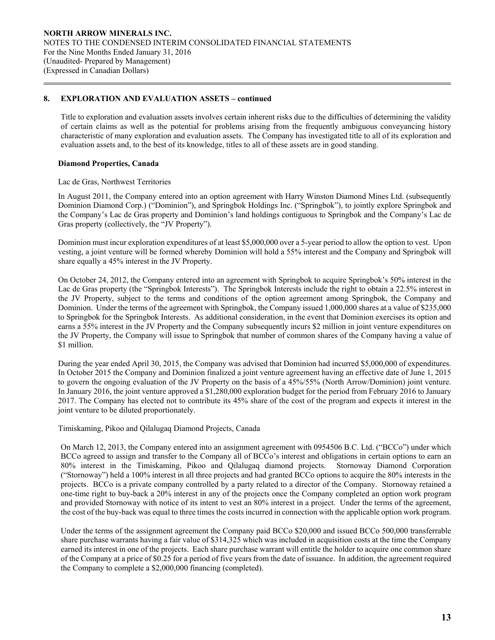#### **8. EXPLORATION AND EVALUATION ASSETS – continued**

 Title to exploration and evaluation assets involves certain inherent risks due to the difficulties of determining the validity of certain claims as well as the potential for problems arising from the frequently ambiguous conveyancing history characteristic of many exploration and evaluation assets. The Company has investigated title to all of its exploration and evaluation assets and, to the best of its knowledge, titles to all of these assets are in good standing.

#### **Diamond Properties, Canada**

 $\overline{a}$ 

#### Lac de Gras, Northwest Territories

In August 2011, the Company entered into an option agreement with Harry Winston Diamond Mines Ltd. (subsequently Dominion Diamond Corp.) ("Dominion"), and Springbok Holdings Inc. ("Springbok"), to jointly explore Springbok and the Company's Lac de Gras property and Dominion's land holdings contiguous to Springbok and the Company's Lac de Gras property (collectively, the "JV Property").

Dominion must incur exploration expenditures of at least \$5,000,000 over a 5-year period to allow the option to vest. Upon vesting, a joint venture will be formed whereby Dominion will hold a 55% interest and the Company and Springbok will share equally a 45% interest in the JV Property.

On October 24, 2012, the Company entered into an agreement with Springbok to acquire Springbok's 50% interest in the Lac de Gras property (the "Springbok Interests"). The Springbok Interests include the right to obtain a 22.5% interest in the JV Property, subject to the terms and conditions of the option agreement among Springbok, the Company and Dominion. Under the terms of the agreement with Springbok, the Company issued 1,000,000 shares at a value of \$235,000 to Springbok for the Springbok Interests. As additional consideration, in the event that Dominion exercises its option and earns a 55% interest in the JV Property and the Company subsequently incurs \$2 million in joint venture expenditures on the JV Property, the Company will issue to Springbok that number of common shares of the Company having a value of \$1 million.

During the year ended April 30, 2015, the Company was advised that Dominion had incurred \$5,000,000 of expenditures. In October 2015 the Company and Dominion finalized a joint venture agreement having an effective date of June 1, 2015 to govern the ongoing evaluation of the JV Property on the basis of a 45%/55% (North Arrow/Dominion) joint venture. In January 2016, the joint venture approved a \$1,280,000 exploration budget for the period from February 2016 to January 2017. The Company has elected not to contribute its 45% share of the cost of the program and expects it interest in the joint venture to be diluted proportionately.

Timiskaming, Pikoo and Qilalugaq Diamond Projects, Canada

On March 12, 2013, the Company entered into an assignment agreement with 0954506 B.C. Ltd. ("BCCo") under which BCCo agreed to assign and transfer to the Company all of BCCo's interest and obligations in certain options to earn an 80% interest in the Timiskaming, Pikoo and Qilalugaq diamond projects. Stornoway Diamond Corporation ("Stornoway") held a 100% interest in all three projects and had granted BCCo options to acquire the 80% interests in the projects. BCCo is a private company controlled by a party related to a director of the Company. Stornoway retained a one-time right to buy-back a 20% interest in any of the projects once the Company completed an option work program and provided Stornoway with notice of its intent to vest an 80% interest in a project. Under the terms of the agreement, the cost of the buy-back was equal to three times the costs incurred in connection with the applicable option work program.

Under the terms of the assignment agreement the Company paid BCCo \$20,000 and issued BCCo 500,000 transferrable share purchase warrants having a fair value of \$314,325 which was included in acquisition costs at the time the Company earned its interest in one of the projects. Each share purchase warrant will entitle the holder to acquire one common share of the Company at a price of \$0.25 for a period of five years from the date of issuance. In addition, the agreement required the Company to complete a \$2,000,000 financing (completed).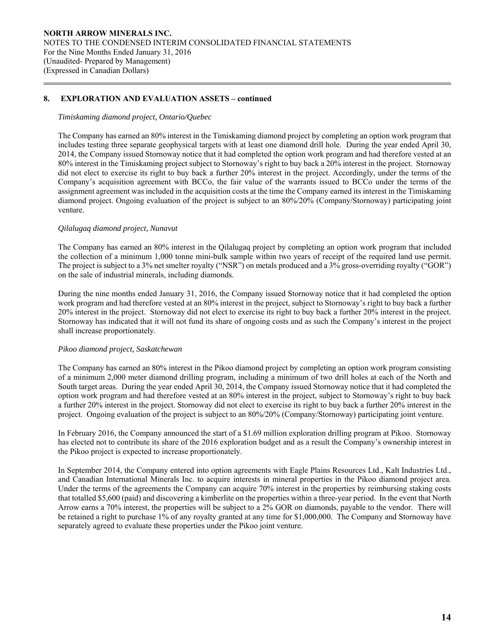## **8. EXPLORATION AND EVALUATION ASSETS – continued**

#### *Timiskaming diamond project, Ontario/Quebec*

 $\overline{a}$ 

The Company has earned an 80% interest in the Timiskaming diamond project by completing an option work program that includes testing three separate geophysical targets with at least one diamond drill hole. During the year ended April 30, 2014, the Company issued Stornoway notice that it had completed the option work program and had therefore vested at an 80% interest in the Timiskaming project subject to Stornoway's right to buy back a 20% interest in the project. Stornoway did not elect to exercise its right to buy back a further 20% interest in the project. Accordingly, under the terms of the Company's acquisition agreement with BCCo, the fair value of the warrants issued to BCCo under the terms of the assignment agreement was included in the acquisition costs at the time the Company earned its interest in the Timiskaming diamond project. Ongoing evaluation of the project is subject to an 80%/20% (Company/Stornoway) participating joint venture.

## *Qilalugaq diamond project, Nunavut*

The Company has earned an 80% interest in the Qilalugaq project by completing an option work program that included the collection of a minimum 1,000 tonne mini-bulk sample within two years of receipt of the required land use permit. The project is subject to a 3% net smelter royalty ("NSR") on metals produced and a 3% gross-overriding royalty ("GOR") on the sale of industrial minerals, including diamonds.

During the nine months ended January 31, 2016, the Company issued Stornoway notice that it had completed the option work program and had therefore vested at an 80% interest in the project, subject to Stornoway's right to buy back a further 20% interest in the project. Stornoway did not elect to exercise its right to buy back a further 20% interest in the project. Stornoway has indicated that it will not fund its share of ongoing costs and as such the Company's interest in the project shall increase proportionately.

## *Pikoo diamond project, Saskatchewan*

The Company has earned an 80% interest in the Pikoo diamond project by completing an option work program consisting of a minimum 2,000 meter diamond drilling program, including a minimum of two drill holes at each of the North and South target areas. During the year ended April 30, 2014, the Company issued Stornoway notice that it had completed the option work program and had therefore vested at an 80% interest in the project, subject to Stornoway's right to buy back a further 20% interest in the project. Stornoway did not elect to exercise its right to buy back a further 20% interest in the project. Ongoing evaluation of the project is subject to an 80%/20% (Company/Stornoway) participating joint venture.

In February 2016, the Company announced the start of a \$1.69 million exploration drilling program at Pikoo. Stornoway has elected not to contribute its share of the 2016 exploration budget and as a result the Company's ownership interest in the Pikoo project is expected to increase proportionately.

In September 2014, the Company entered into option agreements with Eagle Plains Resources Ltd., Kalt Industries Ltd., and Canadian International Minerals Inc. to acquire interests in mineral properties in the Pikoo diamond project area. Under the terms of the agreements the Company can acquire 70% interest in the properties by reimbursing staking costs that totalled \$5,600 (paid) and discovering a kimberlite on the properties within a three-year period. In the event that North Arrow earns a 70% interest, the properties will be subject to a 2% GOR on diamonds, payable to the vendor. There will be retained a right to purchase 1% of any royalty granted at any time for \$1,000,000. The Company and Stornoway have separately agreed to evaluate these properties under the Pikoo joint venture.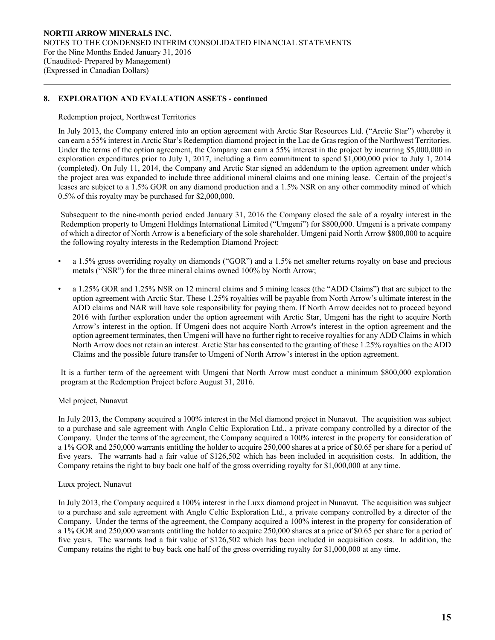## **8. EXPLORATION AND EVALUATION ASSETS - continued**

Redemption project, Northwest Territories

 $\overline{a}$ 

In July 2013, the Company entered into an option agreement with Arctic Star Resources Ltd. ("Arctic Star") whereby it can earn a 55% interest in Arctic Star's Redemption diamond project in the Lac de Gras region of the Northwest Territories. Under the terms of the option agreement, the Company can earn a 55% interest in the project by incurring \$5,000,000 in exploration expenditures prior to July 1, 2017, including a firm commitment to spend \$1,000,000 prior to July 1, 2014 (completed). On July 11, 2014, the Company and Arctic Star signed an addendum to the option agreement under which the project area was expanded to include three additional mineral claims and one mining lease. Certain of the project's leases are subject to a 1.5% GOR on any diamond production and a 1.5% NSR on any other commodity mined of which 0.5% of this royalty may be purchased for \$2,000,000.

Subsequent to the nine-month period ended January 31, 2016 the Company closed the sale of a royalty interest in the Redemption property to Umgeni Holdings International Limited ("Umgeni") for \$800,000. Umgeni is a private company of which a director of North Arrow is a beneficiary of the sole shareholder. Umgeni paid North Arrow \$800,000 to acquire the following royalty interests in the Redemption Diamond Project:

- a 1.5% gross overriding royalty on diamonds ("GOR") and a 1.5% net smelter returns royalty on base and precious metals ("NSR") for the three mineral claims owned 100% by North Arrow;
- a 1.25% GOR and 1.25% NSR on 12 mineral claims and 5 mining leases (the "ADD Claims") that are subject to the option agreement with Arctic Star. These 1.25% royalties will be payable from North Arrow's ultimate interest in the ADD claims and NAR will have sole responsibility for paying them. If North Arrow decides not to proceed beyond 2016 with further exploration under the option agreement with Arctic Star, Umgeni has the right to acquire North Arrow's interest in the option. If Umgeni does not acquire North Arrow's interest in the option agreement and the option agreement terminates, then Umgeni will have no further right to receive royalties for any ADD Claims in which North Arrow does not retain an interest. Arctic Star has consented to the granting of these 1.25% royalties on the ADD Claims and the possible future transfer to Umgeni of North Arrow's interest in the option agreement.

It is a further term of the agreement with Umgeni that North Arrow must conduct a minimum \$800,000 exploration program at the Redemption Project before August 31, 2016.

## Mel project, Nunavut

In July 2013, the Company acquired a 100% interest in the Mel diamond project in Nunavut. The acquisition was subject to a purchase and sale agreement with Anglo Celtic Exploration Ltd., a private company controlled by a director of the Company. Under the terms of the agreement, the Company acquired a 100% interest in the property for consideration of a 1% GOR and 250,000 warrants entitling the holder to acquire 250,000 shares at a price of \$0.65 per share for a period of five years. The warrants had a fair value of \$126,502 which has been included in acquisition costs. In addition, the Company retains the right to buy back one half of the gross overriding royalty for \$1,000,000 at any time.

#### Luxx project, Nunavut

In July 2013, the Company acquired a 100% interest in the Luxx diamond project in Nunavut. The acquisition was subject to a purchase and sale agreement with Anglo Celtic Exploration Ltd., a private company controlled by a director of the Company. Under the terms of the agreement, the Company acquired a 100% interest in the property for consideration of a 1% GOR and 250,000 warrants entitling the holder to acquire 250,000 shares at a price of \$0.65 per share for a period of five years. The warrants had a fair value of \$126,502 which has been included in acquisition costs. In addition, the Company retains the right to buy back one half of the gross overriding royalty for \$1,000,000 at any time.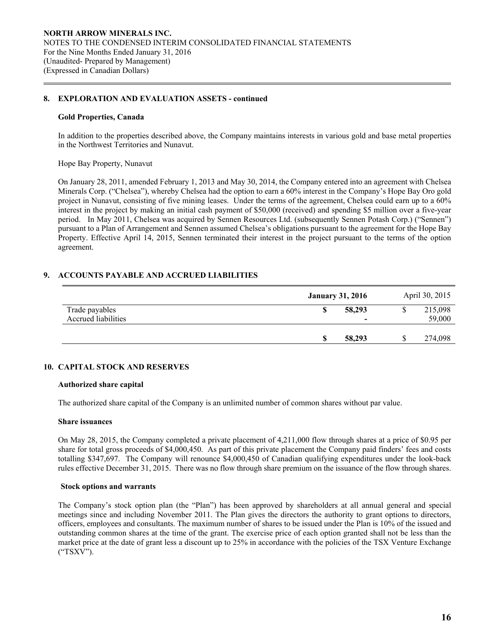#### **8. EXPLORATION AND EVALUATION ASSETS - continued**

#### **Gold Properties, Canada**

 $\overline{a}$ 

 In addition to the properties described above, the Company maintains interests in various gold and base metal properties in the Northwest Territories and Nunavut.

Hope Bay Property, Nunavut

On January 28, 2011, amended February 1, 2013 and May 30, 2014, the Company entered into an agreement with Chelsea Minerals Corp. ("Chelsea"), whereby Chelsea had the option to earn a 60% interest in the Company's Hope Bay Oro gold project in Nunavut, consisting of five mining leases. Under the terms of the agreement, Chelsea could earn up to a 60% interest in the project by making an initial cash payment of \$50,000 (received) and spending \$5 million over a five-year period. In May 2011, Chelsea was acquired by Sennen Resources Ltd. (subsequently Sennen Potash Corp.) ("Sennen") pursuant to a Plan of Arrangement and Sennen assumed Chelsea's obligations pursuant to the agreement for the Hope Bay Property. Effective April 14, 2015, Sennen terminated their interest in the project pursuant to the terms of the option agreement.

#### **9. ACCOUNTS PAYABLE AND ACCRUED LIABILITIES**

|                                       | <b>January 31, 2016</b>            | April 30, 2015    |
|---------------------------------------|------------------------------------|-------------------|
| Trade payables<br>Accrued liabilities | 58,293<br>$\overline{\phantom{0}}$ | 215,098<br>59,000 |
|                                       | 58,293                             | 274,098           |

#### **10. CAPITAL STOCK AND RESERVES**

#### **Authorized share capital**

The authorized share capital of the Company is an unlimited number of common shares without par value.

#### **Share issuances**

On May 28, 2015, the Company completed a private placement of 4,211,000 flow through shares at a price of \$0.95 per share for total gross proceeds of \$4,000,450. As part of this private placement the Company paid finders' fees and costs totalling \$347,697. The Company will renounce \$4,000,450 of Canadian qualifying expenditures under the look-back rules effective December 31, 2015. There was no flow through share premium on the issuance of the flow through shares.

#### **Stock options and warrants**

 The Company's stock option plan (the "Plan") has been approved by shareholders at all annual general and special meetings since and including November 2011. The Plan gives the directors the authority to grant options to directors, officers, employees and consultants. The maximum number of shares to be issued under the Plan is 10% of the issued and outstanding common shares at the time of the grant. The exercise price of each option granted shall not be less than the market price at the date of grant less a discount up to 25% in accordance with the policies of the TSX Venture Exchange ("TSXV").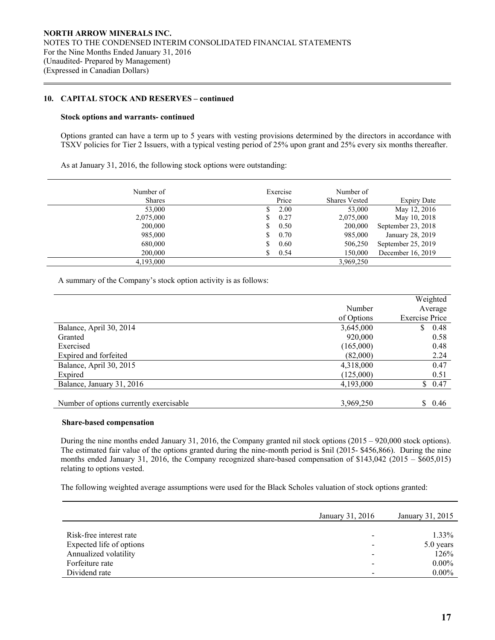#### **10. CAPITAL STOCK AND RESERVES – continued**

#### **Stock options and warrants- continued**

 $\overline{a}$ 

Options granted can have a term up to 5 years with vesting provisions determined by the directors in accordance with TSXV policies for Tier 2 Issuers, with a typical vesting period of 25% upon grant and 25% every six months thereafter.

As at January 31, 2016, the following stock options were outstanding:

| Number of     | Exercise | Number of            |                    |
|---------------|----------|----------------------|--------------------|
| <b>Shares</b> | Price    | <b>Shares Vested</b> | <b>Expiry Date</b> |
| 53,000        | 2.00     | 53,000               | May 12, 2016       |
| 2,075,000     | 0.27     | 2,075,000            | May 10, 2018       |
| 200,000       | 0.50     | 200,000              | September 23, 2018 |
| 985,000       | 0.70     | 985,000              | January 28, 2019   |
| 680,000       | 0.60     | 506,250              | September 25, 2019 |
| 200,000       | 0.54     | 150,000              | December 16, 2019  |
| 4.193,000     |          | 3,969,250            |                    |

A summary of the Company's stock option activity is as follows:

|                                         |            | Weighted              |
|-----------------------------------------|------------|-----------------------|
|                                         | Number     | Average               |
|                                         | of Options | <b>Exercise Price</b> |
| Balance, April 30, 2014                 | 3,645,000  | \$<br>0.48            |
| Granted                                 | 920,000    | 0.58                  |
| Exercised                               | (165,000)  | 0.48                  |
| Expired and forfeited                   | (82,000)   | 2.24                  |
| Balance, April 30, 2015                 | 4,318,000  | 0.47                  |
| Expired                                 | (125,000)  | 0.51                  |
| Balance, January 31, 2016               | 4,193,000  | \$0.47                |
|                                         |            |                       |
| Number of options currently exercisable | 3,969,250  | S.<br>0.46            |

#### **Share-based compensation**

During the nine months ended January 31, 2016, the Company granted nil stock options (2015 – 920,000 stock options). The estimated fair value of the options granted during the nine-month period is \$nil (2015- \$456,866). During the nine months ended January 31, 2016, the Company recognized share-based compensation of \$143,042 (2015 – \$605,015) relating to options vested.

The following weighted average assumptions were used for the Black Scholes valuation of stock options granted:

|                          | January 31, 2016 | January 31, 2015 |
|--------------------------|------------------|------------------|
|                          |                  |                  |
| Risk-free interest rate  |                  | $1.33\%$         |
| Expected life of options |                  | 5.0 years        |
| Annualized volatility    |                  | 126%             |
| Forfeiture rate          |                  | $0.00\%$         |
| Dividend rate            |                  | $0.00\%$         |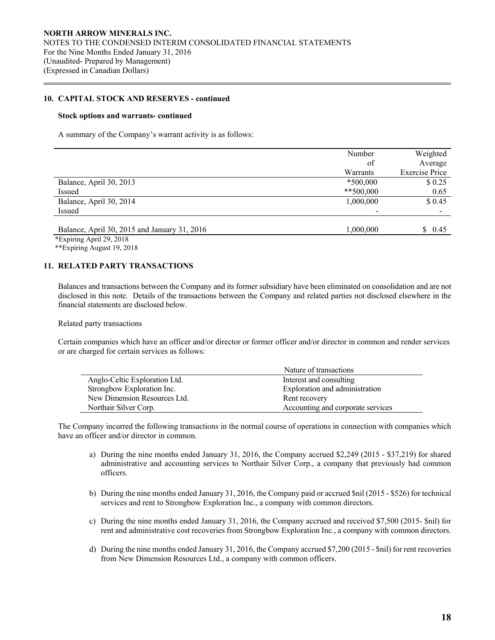#### **10. CAPITAL STOCK AND RESERVES - continued**

#### **Stock options and warrants- continued**

A summary of the Company's warrant activity is as follows:

|                                              | Number      | Weighted              |
|----------------------------------------------|-------------|-----------------------|
|                                              | of          | Average               |
|                                              | Warrants    | <b>Exercise Price</b> |
| Balance, April 30, 2013                      | $*500,000$  | \$0.25                |
| Issued                                       | $**500,000$ | 0.65                  |
| Balance, April 30, 2014                      | 1,000,000   | \$0.45                |
| Issued                                       |             |                       |
|                                              |             |                       |
| Balance, April 30, 2015 and January 31, 2016 | 1,000,000   | \$0.45                |

\*Expiring April 29, 2018

 $\overline{a}$ 

\*\*Expiring August 19, 2018

#### **11. RELATED PARTY TRANSACTIONS**

 Balances and transactions between the Company and its former subsidiary have been eliminated on consolidation and are not disclosed in this note. Details of the transactions between the Company and related parties not disclosed elsewhere in the financial statements are disclosed below.

Related party transactions

Certain companies which have an officer and/or director or former officer and/or director in common and render services or are charged for certain services as follows:

|                               | Nature of transactions            |
|-------------------------------|-----------------------------------|
| Anglo-Celtic Exploration Ltd. | Interest and consulting           |
| Strongbow Exploration Inc.    | Exploration and administration    |
| New Dimension Resources Ltd.  | Rent recovery                     |
| Northair Silver Corp.         | Accounting and corporate services |

The Company incurred the following transactions in the normal course of operations in connection with companies which have an officer and/or director in common.

- a) During the nine months ended January 31, 2016, the Company accrued \$2,249 (2015 \$37,219) for shared administrative and accounting services to Northair Silver Corp., a company that previously had common officers.
- b) During the nine months ended January 31, 2016, the Company paid or accrued \$nil (2015 \$526) for technical services and rent to Strongbow Exploration Inc., a company with common directors.
- c) During the nine months ended January 31, 2016, the Company accrued and received \$7,500 (2015- \$nil) for rent and administrative cost recoveries from Strongbow Exploration Inc., a company with common directors.
- d) During the nine months ended January 31, 2016, the Company accrued \$7,200 (2015 \$nil) for rent recoveries from New Dimension Resources Ltd., a company with common officers.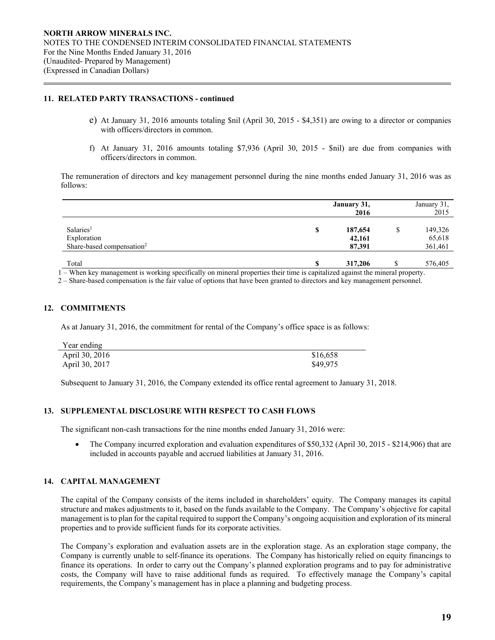## **11. RELATED PARTY TRANSACTIONS - continued**

- e) At January 31, 2016 amounts totaling \$nil (April 30, 2015 \$4,351) are owing to a director or companies with officers/directors in common.
- f) At January 31, 2016 amounts totaling \$7,936 (April 30, 2015 \$nil) are due from companies with officers/directors in common.

 The remuneration of directors and key management personnel during the nine months ended January 31, 2016 was as follows:

|                                                                               |    | January 31,<br>2016         |   | January 31,<br>2015          |
|-------------------------------------------------------------------------------|----|-----------------------------|---|------------------------------|
| Salaries <sup>1</sup><br>Exploration<br>Share-based compensation <sup>2</sup> | \$ | 187,654<br>42,161<br>87,391 | S | 149,326<br>65,618<br>361,461 |
| Total                                                                         | G  | 317,206                     |   | 576,405                      |

1 – When key management is working specifically on mineral properties their time is capitalized against the mineral property.

2 – Share-based compensation is the fair value of options that have been granted to directors and key management personnel.

## **12. COMMITMENTS**

 $\overline{a}$ 

As at January 31, 2016, the commitment for rental of the Company's office space is as follows:

| Year ending    |          |
|----------------|----------|
| April 30, 2016 | \$16,658 |
| April 30, 2017 | \$49,975 |

Subsequent to January 31, 2016, the Company extended its office rental agreement to January 31, 2018.

## **13. SUPPLEMENTAL DISCLOSURE WITH RESPECT TO CASH FLOWS**

The significant non-cash transactions for the nine months ended January 31, 2016 were:

• The Company incurred exploration and evaluation expenditures of \$50,332 (April 30, 2015 - \$214,906) that are included in accounts payable and accrued liabilities at January 31, 2016.

## **14. CAPITAL MANAGEMENT**

 The capital of the Company consists of the items included in shareholders' equity. The Company manages its capital structure and makes adjustments to it, based on the funds available to the Company. The Company's objective for capital management is to plan for the capital required to support the Company's ongoing acquisition and exploration of its mineral properties and to provide sufficient funds for its corporate activities.

 The Company's exploration and evaluation assets are in the exploration stage. As an exploration stage company, the Company is currently unable to self-finance its operations. The Company has historically relied on equity financings to finance its operations. In order to carry out the Company's planned exploration programs and to pay for administrative costs, the Company will have to raise additional funds as required. To effectively manage the Company's capital requirements, the Company's management has in place a planning and budgeting process.